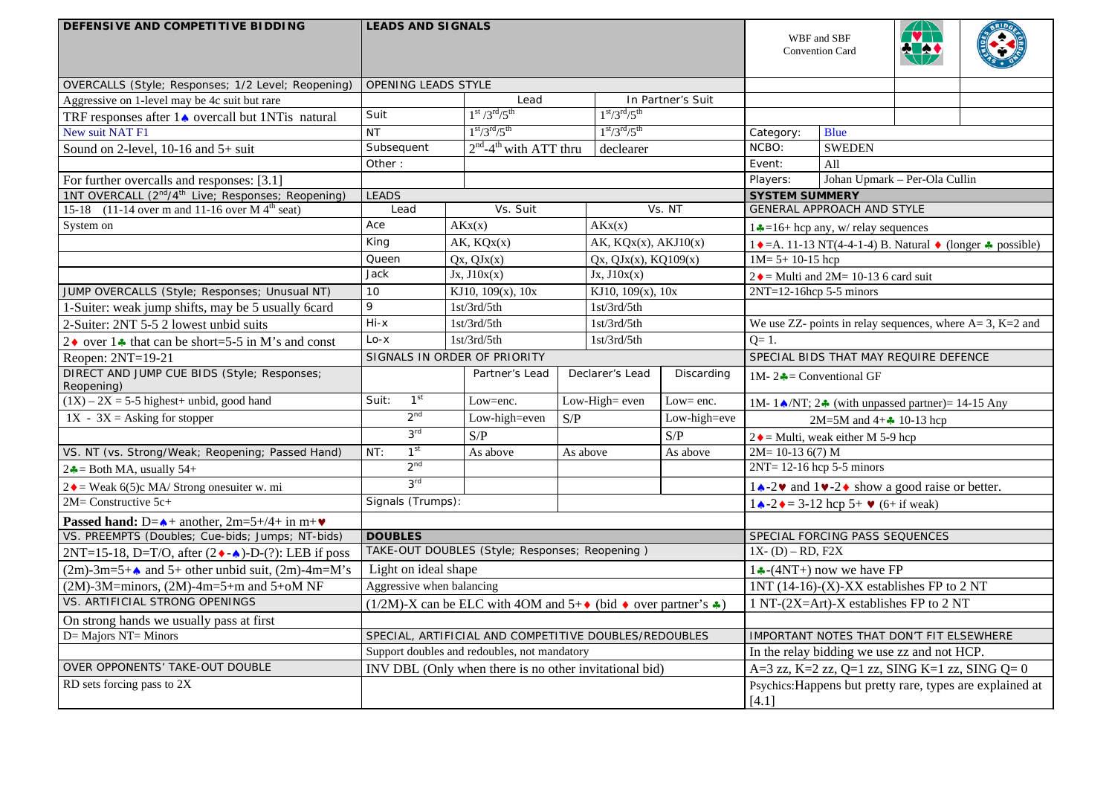| DEFENSIVE AND COMPETITIVE BIDDING                                            | <b>LEADS AND SIGNALS</b>                                                                     |                   |                           |          | WBF and SBF<br><b>Convention Card</b>                                |                                            |                                                                         | BRIDG                                                                   |                               |                                                                                                      |  |
|------------------------------------------------------------------------------|----------------------------------------------------------------------------------------------|-------------------|---------------------------|----------|----------------------------------------------------------------------|--------------------------------------------|-------------------------------------------------------------------------|-------------------------------------------------------------------------|-------------------------------|------------------------------------------------------------------------------------------------------|--|
| OVERCALLS (Style; Responses; 1/2 Level; Reopening)                           | <b>OPENING LEADS STYLE</b>                                                                   |                   |                           |          |                                                                      |                                            |                                                                         |                                                                         |                               |                                                                                                      |  |
| Aggressive on 1-level may be 4c suit but rare                                |                                                                                              |                   | Lead                      |          | In Partner's Suit                                                    |                                            |                                                                         |                                                                         |                               |                                                                                                      |  |
| TRF responses after $1 \triangle$ overcall but 1NTis natural                 | Suit                                                                                         |                   | $1st / 3rd / 5th$         |          | $1st/3rd/5th$                                                        |                                            |                                                                         |                                                                         |                               |                                                                                                      |  |
| New suit NAT F1                                                              | <b>NT</b>                                                                                    |                   | $1st/3rd/5th$             |          | $1st/3rd/5th$                                                        |                                            | <b>Blue</b><br>Category:                                                |                                                                         |                               |                                                                                                      |  |
| Sound on 2-level, 10-16 and 5+ suit                                          | Subsequent                                                                                   |                   | $2nd - 4th$ with ATT thru |          | declearer                                                            |                                            | NCBO:                                                                   | <b>SWEDEN</b>                                                           |                               |                                                                                                      |  |
|                                                                              | Other:                                                                                       |                   |                           |          |                                                                      |                                            | Event:                                                                  | All                                                                     |                               |                                                                                                      |  |
| For further overcalls and responses: [3.1]                                   |                                                                                              |                   |                           |          |                                                                      |                                            | Players:                                                                |                                                                         | Johan Upmark - Per-Ola Cullin |                                                                                                      |  |
| 1NT OVERCALL (2 <sup>nd</sup> /4 <sup>th</sup> Live; Responses; Reopening)   | <b>LEADS</b>                                                                                 |                   |                           |          |                                                                      | <b>SYSTEM SUMMERY</b>                      |                                                                         |                                                                         |                               |                                                                                                      |  |
| 15-18 (11-14 over m and 11-16 over M $4^{\text{th}}$ seat)                   | Lead                                                                                         |                   | Vs. Suit                  |          |                                                                      | Vs. NT                                     | <b>GENERAL APPROACH AND STYLE</b>                                       |                                                                         |                               |                                                                                                      |  |
| System on                                                                    | Ace                                                                                          | AKx(x)            |                           |          | AKx(x)                                                               |                                            |                                                                         | $1 - 16 + \text{hcp any}, w/\text{ relay sequences}$                    |                               |                                                                                                      |  |
|                                                                              | King                                                                                         |                   | AK, KQx(x)                |          | AK, $KQx(x)$ , $AKJ10(x)$                                            |                                            |                                                                         |                                                                         |                               | $1 \triangleleft$ =A. 11-13 NT(4-4-1-4) B. Natural $\triangleleft$ (longer $\triangleleft$ possible) |  |
|                                                                              | Queen                                                                                        |                   | Qx, QJx(x)                |          | $Qx$ , $QJx(x)$ , $KQ109(x)$                                         |                                            | $1M = 5 + 10 - 15$ hcp                                                  |                                                                         |                               |                                                                                                      |  |
|                                                                              | Jack                                                                                         |                   | Jx, J10x(x)               |          | Jx, J10x(x)                                                          |                                            | $2 \triangleleft$ = Multi and 2M= 10-13 6 card suit                     |                                                                         |                               |                                                                                                      |  |
| JUMP OVERCALLS (Style; Responses; Unusual NT)                                | 10                                                                                           | KJ10, 109(x), 10x |                           |          | KJ10, $109(x)$ , $10x$                                               |                                            | $2NT=12-16$ hcp 5-5 minors                                              |                                                                         |                               |                                                                                                      |  |
| 1-Suiter: weak jump shifts, may be 5 usually 6card                           | 9                                                                                            |                   | 1st/3rd/5th               |          | 1st/3rd/5th                                                          |                                            |                                                                         |                                                                         |                               |                                                                                                      |  |
| 2-Suiter: 2NT 5-5 2 lowest unbid suits                                       | Hi-x                                                                                         |                   | 1st/3rd/5th               |          | 1st/3rd/5th                                                          |                                            | We use ZZ- points in relay sequences, where $A = 3$ , $K = 2$ and       |                                                                         |                               |                                                                                                      |  |
| 2. over 1. that can be short=5-5 in M's and const                            | $Lo-X$                                                                                       |                   | 1st/3rd/5th               |          | 1st/3rd/5th                                                          |                                            | $Q=1$ .                                                                 |                                                                         |                               |                                                                                                      |  |
| Reopen: 2NT=19-21                                                            | SIGNALS IN ORDER OF PRIORITY                                                                 |                   |                           |          |                                                                      |                                            | SPECIAL BIDS THAT MAY REQUIRE DEFENCE                                   |                                                                         |                               |                                                                                                      |  |
| DIRECT AND JUMP CUE BIDS (Style; Responses;<br>Reopening)                    |                                                                                              |                   | Partner's Lead            |          | Declarer's Lead                                                      | Discarding                                 | 1M-2 $\clubsuit$ = Conventional GF                                      |                                                                         |                               |                                                                                                      |  |
| $(1X) - 2X = 5-5$ highest+ unbid, good hand                                  | 1 <sup>st</sup><br>Suit:                                                                     |                   | Low=enc.                  |          | Low-High= even                                                       | Low= enc.                                  |                                                                         | 1M-1A/NT; $2\clubsuit$ (with unpassed partner)= 14-15 Any               |                               |                                                                                                      |  |
| $1X - 3X =$ Asking for stopper                                               | 2 <sup>nd</sup>                                                                              |                   | Low-high=even             | S/P      |                                                                      | Low-high=eve                               | 2M=5M and $4 + 10 - 13$ hcp                                             |                                                                         |                               |                                                                                                      |  |
|                                                                              | 3 <sup>rd</sup>                                                                              |                   | S/P                       |          |                                                                      | S/P                                        |                                                                         | $2 \triangleleft$ = Multi, weak either M 5-9 hcp                        |                               |                                                                                                      |  |
| 1 <sup>st</sup><br>VS. NT (vs. Strong/Weak; Reopening; Passed Hand)<br>NT:   |                                                                                              | As above          |                           | As above | As above                                                             |                                            | $2M = 10-13$ 6(7) M                                                     |                                                                         |                               |                                                                                                      |  |
| $2 - $ Both MA, usually 54+                                                  | 2 <sup>nd</sup>                                                                              |                   |                           |          |                                                                      |                                            | $2NT = 12-16$ hcp 5-5 minors                                            |                                                                         |                               |                                                                                                      |  |
| $2 \triangleleft$ = Weak 6(5)c MA/ Strong onesuiter w. mi                    | 3 <sup>rd</sup>                                                                              |                   |                           |          |                                                                      |                                            |                                                                         | $1 \triangle 2$ and $1 \vee 2 \triangle 3$ show a good raise or better. |                               |                                                                                                      |  |
| $2M =$ Constructive $5c+$                                                    | Signals (Trumps):                                                                            |                   |                           |          |                                                                      |                                            | $1 \cdot 2 \cdot 2 = 3 - 12 \text{ hcp } 5 + \cdot 6 + \text{ if weak}$ |                                                                         |                               |                                                                                                      |  |
| <b>Passed hand:</b> D= $\triangle$ + another, 2m=5+/4+ in m+ $\triangledown$ |                                                                                              |                   |                           |          |                                                                      |                                            |                                                                         |                                                                         |                               |                                                                                                      |  |
| VS. PREEMPTS (Doubles; Cue-bids; Jumps; NT-bids)                             | <b>DOUBLES</b>                                                                               |                   |                           |          |                                                                      | SPECIAL FORCING PASS SEQUENCES             |                                                                         |                                                                         |                               |                                                                                                      |  |
| $2NT=15-18$ , D=T/O, after $(2 \cdot \cdot \cdot)$ -D-(?): LEB if poss       | TAKE-OUT DOUBLES (Style; Responses; Reopening)                                               |                   |                           |          |                                                                      |                                            | $1X - (D) - RD$ , F2X                                                   |                                                                         |                               |                                                                                                      |  |
| $(2m)$ -3m=5+ $\spadesuit$ and 5+ other unbid suit, $(2m)$ -4m=M's           | Light on ideal shape                                                                         |                   |                           |          | $1 \div (4NT)$ now we have FP                                        |                                            |                                                                         |                                                                         |                               |                                                                                                      |  |
| $(2M)$ -3M=minors, $(2M)$ -4m=5+m and 5+oM NF                                | Aggressive when balancing                                                                    |                   |                           |          | 1NT $(14-16)-(X)-XX$ establishes FP to 2 NT                          |                                            |                                                                         |                                                                         |                               |                                                                                                      |  |
| VS. ARTIFICIAL STRONG OPENINGS                                               | $(1/2M)$ -X can be ELC with 4OM and 5+ $\bullet$ (bid $\bullet$ over partner's $\clubsuit$ ) |                   |                           |          |                                                                      | 1 NT- $(2X=Art)$ -X establishes FP to 2 NT |                                                                         |                                                                         |                               |                                                                                                      |  |
| On strong hands we usually pass at first                                     |                                                                                              |                   |                           |          |                                                                      |                                            |                                                                         |                                                                         |                               |                                                                                                      |  |
| D= Majors NT= Minors                                                         | SPECIAL, ARTIFICIAL AND COMPETITIVE DOUBLES/REDOUBLES                                        |                   |                           |          | IMPORTANT NOTES THAT DON'T FIT ELSEWHERE                             |                                            |                                                                         |                                                                         |                               |                                                                                                      |  |
|                                                                              | Support doubles and redoubles, not mandatory                                                 |                   |                           |          | In the relay bidding we use zz and not HCP.                          |                                            |                                                                         |                                                                         |                               |                                                                                                      |  |
| OVER OPPONENTS' TAKE-OUT DOUBLE                                              | INV DBL (Only when there is no other invitational bid)                                       |                   |                           |          | A=3 zz, K=2 zz, Q=1 zz, SING K=1 zz, SING Q= $0$                     |                                            |                                                                         |                                                                         |                               |                                                                                                      |  |
| RD sets forcing pass to 2X                                                   |                                                                                              |                   |                           |          | Psychics: Happens but pretty rare, types are explained at<br>$[4.1]$ |                                            |                                                                         |                                                                         |                               |                                                                                                      |  |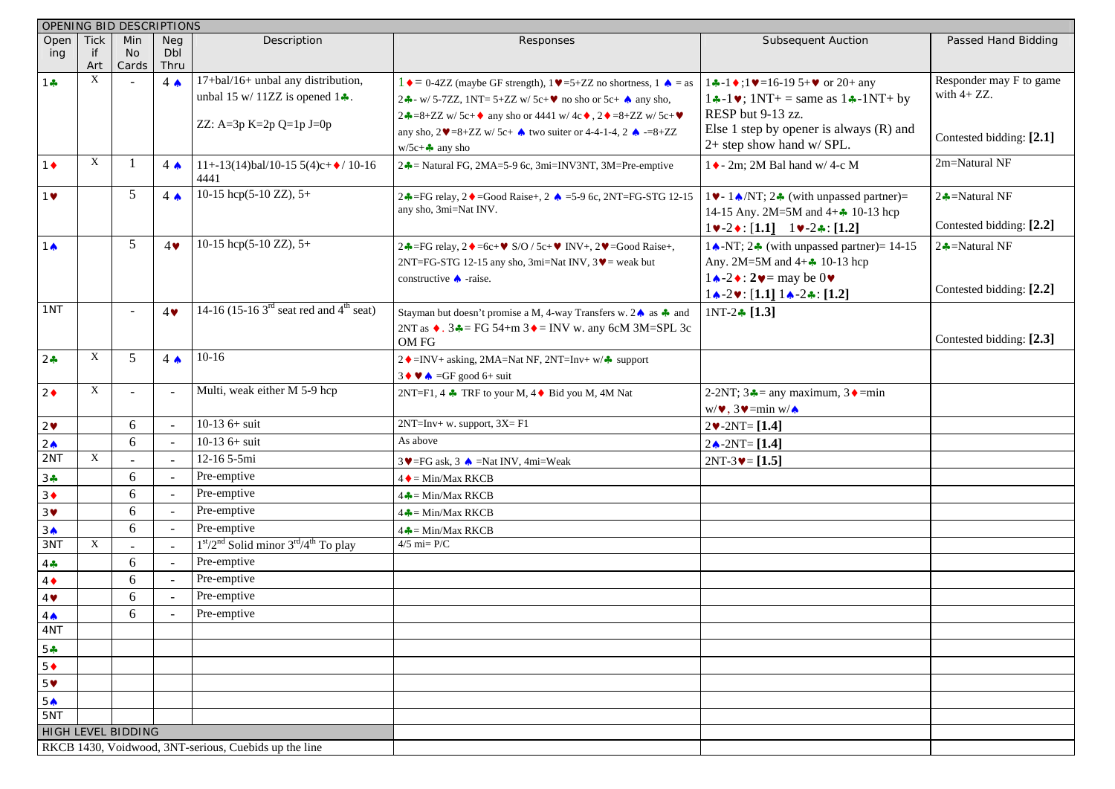|                                | OPENING BID DESCRIPTIONS  |                           |                |                                                                 |                                                                                                                    |                                                                                                       |                                            |
|--------------------------------|---------------------------|---------------------------|----------------|-----------------------------------------------------------------|--------------------------------------------------------------------------------------------------------------------|-------------------------------------------------------------------------------------------------------|--------------------------------------------|
| Open                           | Tick                      | Min                       | Neg            | Description                                                     | Responses                                                                                                          | Subsequent Auction                                                                                    | Passed Hand Bidding                        |
| ing                            |                           | No                        | Dbl            |                                                                 |                                                                                                                    |                                                                                                       |                                            |
|                                | Art<br>X                  | Cards                     | Thru           | 17+bal/16+ unbal any distribution,                              |                                                                                                                    |                                                                                                       |                                            |
| $1 -$                          |                           |                           | $4 \triangle$  |                                                                 | $1 \blacklozenge = 0.4ZZ$ (maybe GF strength), $1 \blacktriangledown = 5+ZZ$ no shortness, $1 \blacktriangle =$ as | $1 \div -1 \div ; 1 \vee = 16 - 195 + \vee$ or 20+ any                                                | Responder may F to game<br>with $4 + ZZ$ . |
|                                |                           |                           |                | unbal 15 w/ 11ZZ is opened $1\clubsuit$ .                       | $2\cdot\cdot\cdot$ w/ 5-7ZZ, 1NT= 5+ZZ w/ 5c+ $\cdot\cdot\cdot$ no sho or 5c+ $\cdot\cdot\cdot$ any sho,           | 1.-1. $\bullet$ -1. NT+ = same as 1.-1. NT+ by                                                        |                                            |
|                                |                           |                           |                | ZZ: A=3p K=2p Q=1p J=0p                                         | $2\clubsuit = 8+ZZ$ w/5c+ $\diamond$ any sho or 4441 w/4c $\diamond$ , 2 $\diamond$ =8+ZZ w/5c+ $\triangledown$    | RESP but 9-13 zz.                                                                                     |                                            |
|                                |                           |                           |                |                                                                 | any sho, $2\blacktriangledown = 8+ZZ$ w/ 5c+ $\blacklozenge$ two suiter or 4-4-1-4, 2 $\blacklozenge$ -=8+ZZ       | Else 1 step by opener is always $(R)$ and                                                             | Contested bidding: [2.1]                   |
|                                |                           |                           |                |                                                                 | $w/5c + \clubsuit$ any sho                                                                                         | 2+ step show hand w/ SPL.                                                                             |                                            |
| $1 \bullet$                    | X                         |                           | $4 \spadesuit$ | $11+-13(14)bal/10-155(4)c+\diamond/10-16$<br>4441               | $2 - \cdot$ = Natural FG, 2MA=5-9 6c, 3mi=INV3NT, 3M=Pre-emptive                                                   | 1 ♦ - 2m; 2M Bal hand w/ 4-c M                                                                        | 2m=Natural NF                              |
| 1                              |                           | 5                         | $4 \triangle$  | 10-15 hcp(5-10 ZZ), $5+$                                        | 2 - FG relay, 2 + = Good Raise+, 2 → = 5-9 6c, 2NT=FG-STG 12-15                                                    | 1. $\blacktriangleright$ - 1. $\blacktriangle$ /NT; 2. $\blacktriangleright$ (with unpassed partner)= | $2 -$ Natural NF                           |
|                                |                           |                           |                |                                                                 | any sho, 3mi=Nat INV.                                                                                              | 14-15 Any. 2M=5M and $4 + 10 - 13$ hcp                                                                |                                            |
|                                |                           |                           |                |                                                                 |                                                                                                                    | $1 \vee -2 \diamond : [1.1]$ $1 \vee -2 \diamond : [1.2]$                                             | Contested bidding: [2.2]                   |
|                                |                           | 5 <sup>5</sup>            | $4\bullet$     | 10-15 hcp(5-10 ZZ), $5+$                                        |                                                                                                                    |                                                                                                       | $2 -$ Natural NF                           |
| $1 \spadesuit$                 |                           |                           |                |                                                                 | $2 \div = FG$ relay, $2 \div = 6c + \nabla S/O / 5c + \nabla INV +$ , $2 \nabla = Good$ Raise+,                    | $1 \triangle$ -NT; $2 \triangleq$ (with unpassed partner)= 14-15                                      |                                            |
|                                |                           |                           |                |                                                                 | $2NT = FG - STG$ 12-15 any sho, 3mi=Nat INV, $3\blacktriangledown$ = weak but                                      | Any. $2M = 5M$ and $4 + 10 - 13$ hcp                                                                  |                                            |
|                                |                           |                           |                |                                                                 | constructive $\spadesuit$ -raise.                                                                                  |                                                                                                       | Contested bidding: [2.2]                   |
|                                |                           |                           |                | 14-16 (15-16 3 <sup>rd</sup> seat red and 4 <sup>th</sup> seat) |                                                                                                                    | $1 \cdot 2 \cdot 1$ [1.1] $1 \cdot 2 \cdot 1$ [1.2]                                                   |                                            |
| 1NT                            |                           |                           | $4\bullet$     |                                                                 | Stayman but doesn't promise a M, 4-way Transfers w. $2 \wedge$ as $\clubsuit$ and                                  | 1NT-2 $\cdot$ [1.3]                                                                                   |                                            |
|                                |                           |                           |                |                                                                 | 2NT as $\triangle$ , 3 $\triangle$ = FG 54+m 3 $\triangle$ = INV w. any 6cM 3M=SPL 3c                              |                                                                                                       |                                            |
|                                |                           |                           |                |                                                                 | OM FG                                                                                                              |                                                                                                       | Contested bidding: [2.3]                   |
| 24                             | X                         | 5                         | $4 \triangle$  | $10-16$                                                         | $2 \cdot =INV +$ asking, 2MA=Nat NF, 2NT=Inv+ w/ $\cdot$ support                                                   |                                                                                                       |                                            |
|                                |                           |                           |                |                                                                 | $3 \cdot \bullet \bullet =GF \text{ good } 6 + \text{ suit}$                                                       |                                                                                                       |                                            |
| 2 <sub>0</sub>                 | X                         |                           |                | Multi, weak either M 5-9 hcp                                    | 2NT=F1, 4 ↑ TRF to your M, 4 ↑ Bid you M, 4M Nat                                                                   | 2-2NT; $3\clubsuit$ = any maximum, $3\spadesuit$ = min                                                |                                            |
|                                |                           |                           |                |                                                                 |                                                                                                                    | $w/\blacktriangledown, 3 \blacktriangledown = min w/\blacktriangle$                                   |                                            |
| 2 <sup>4</sup>                 |                           | 6                         |                | $10-13$ 6+ suit                                                 | $2NT=Inv+w$ . support, $3X=FI$                                                                                     | $2 \vee -2NT = [1.4]$                                                                                 |                                            |
| 2 <sub>•</sub>                 |                           | 6                         |                | 10-13 $6+$ suit                                                 | As above                                                                                                           | $2 \triangle -2NT = [1.4]$                                                                            |                                            |
| 2NT                            | $\boldsymbol{\mathrm{X}}$ |                           |                | 12-16 5-5mi                                                     | $3 \blacktriangleright = FG$ ask, $3 \blacktriangle = Nat$ INV, $4mi = Weak$                                       | $2NT-3\n$ $\blacktriangleright$ = [1.5]                                                               |                                            |
| $3 -$                          |                           | 6                         |                | Pre-emptive                                                     | $4 \triangleleft = Min/Max$ RKCB                                                                                   |                                                                                                       |                                            |
| $3*$                           |                           | 6                         |                | Pre-emptive                                                     | $4 \div = \text{Min}/\text{Max RKCB}$                                                                              |                                                                                                       |                                            |
| 3 <sup>4</sup>                 |                           | 6                         |                | Pre-emptive                                                     | $4 - \text{Min}/\text{Max RKCB}$                                                                                   |                                                                                                       |                                            |
| $3^$                           |                           | 6                         |                | Pre-emptive                                                     | $4 - \text{Min}/\text{Max RKCB}$                                                                                   |                                                                                                       |                                            |
| 3NT                            | $\mathbf{X}$              |                           |                | $1st/2nd$ Solid minor $3rd/4th$ To play                         | $4/5$ mi= $P/C$                                                                                                    |                                                                                                       |                                            |
| $4 -$                          |                           | 6                         |                | Pre-emptive                                                     |                                                                                                                    |                                                                                                       |                                            |
| $4\blacklozenge$               |                           | 6                         |                | Pre-emptive                                                     |                                                                                                                    |                                                                                                       |                                            |
| $4$ $\blacktriangledown$       |                           | 6                         |                | Pre-emptive                                                     |                                                                                                                    |                                                                                                       |                                            |
|                                |                           | 6                         |                | Pre-emptive                                                     |                                                                                                                    |                                                                                                       |                                            |
| $\frac{4 \triangle}{4NT}$      |                           |                           |                |                                                                 |                                                                                                                    |                                                                                                       |                                            |
|                                |                           |                           |                |                                                                 |                                                                                                                    |                                                                                                       |                                            |
| $rac{5\clubsuit}{5\spadesuit}$ |                           |                           |                |                                                                 |                                                                                                                    |                                                                                                       |                                            |
| 5 <sup>4</sup>                 |                           |                           |                |                                                                 |                                                                                                                    |                                                                                                       |                                            |
| 5 <sub>•</sub>                 |                           |                           |                |                                                                 |                                                                                                                    |                                                                                                       |                                            |
| 5NT                            |                           |                           |                |                                                                 |                                                                                                                    |                                                                                                       |                                            |
|                                |                           | <b>HIGH LEVEL BIDDING</b> |                |                                                                 |                                                                                                                    |                                                                                                       |                                            |
|                                |                           |                           |                | RKCB 1430, Voidwood, 3NT-serious, Cuebids up the line           |                                                                                                                    |                                                                                                       |                                            |
|                                |                           |                           |                |                                                                 |                                                                                                                    |                                                                                                       |                                            |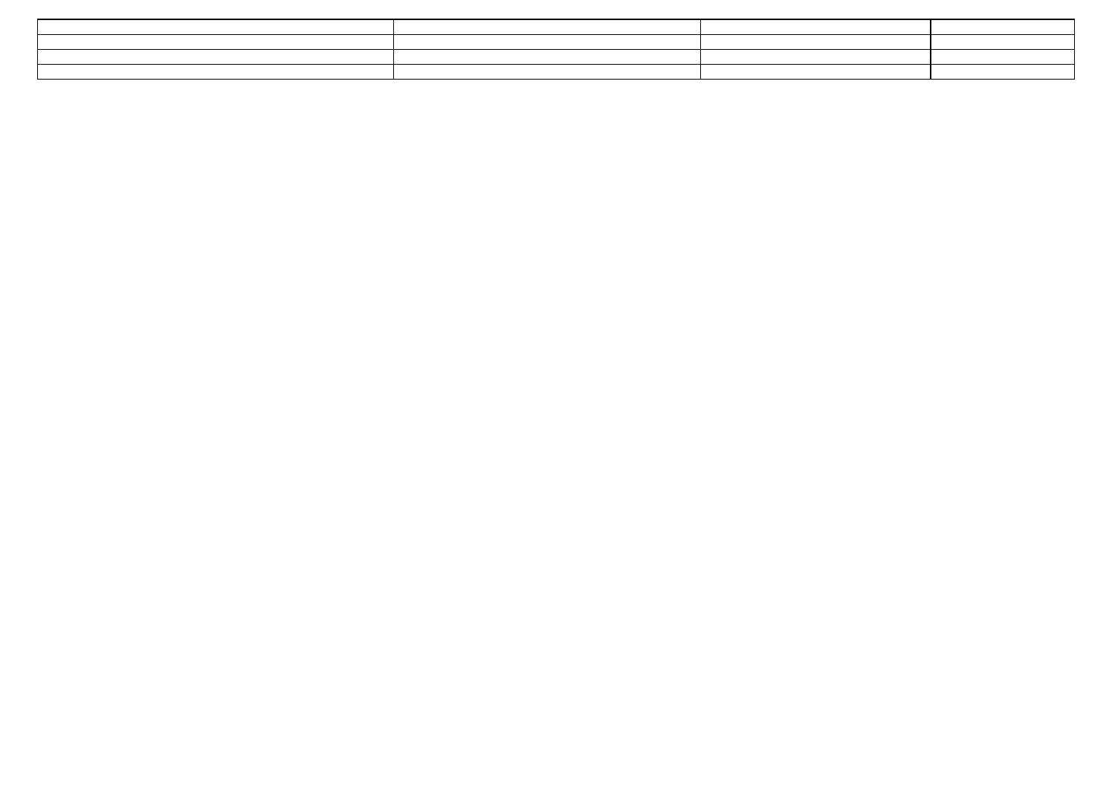| ,我们也不会不会不会。""我们的,我们也不会不会不会。""我们的,我们也不会不会不会不会。""我们的,我们也不会不会不会。""我们的,我们也不会不会不会不会。""                                      |  |                                                                                 |
|------------------------------------------------------------------------------------------------------------------------|--|---------------------------------------------------------------------------------|
|                                                                                                                        |  | the contract of the contract of the contract of the contract of the contract of |
|                                                                                                                        |  |                                                                                 |
| <u> 2003 - Andrea Andrew American American American American American American American American American American</u> |  |                                                                                 |
| <u> Andreas Andreas Andreas Andreas Andreas Andreas Andreas Andreas Andreas Andreas Andreas Andreas Andreas Andr</u>   |  |                                                                                 |
|                                                                                                                        |  |                                                                                 |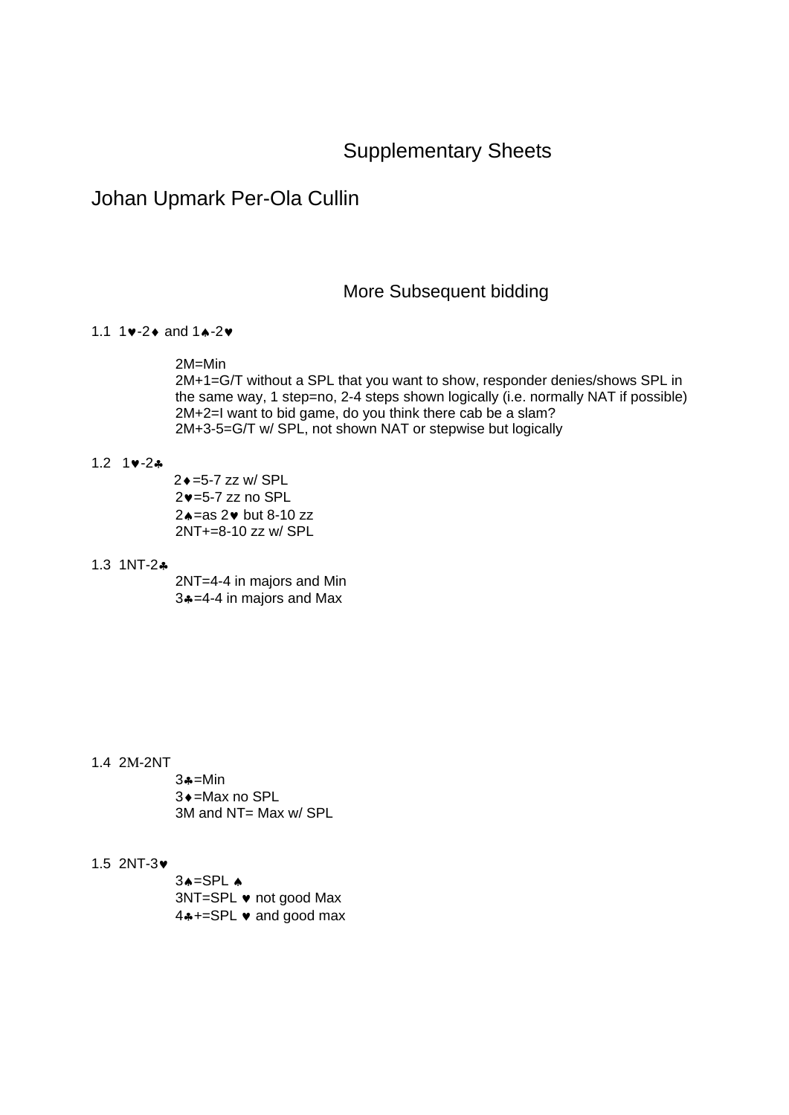# Supplementary Sheets

# Johan Upmark Per-Ola Cullin

## More Subsequent bidding

### 1.1 1♥-2♦ and 1♠-2♥

2M=Min

2M+1=G/T without a SPL that you want to show, responder denies/shows SPL in the same way, 1 step=no, 2-4 steps shown logically (i.e. normally NAT if possible) 2M+2=I want to bid game, do you think there cab be a slam? 2M+3-5=G/T w/ SPL, not shown NAT or stepwise but logically

### 1.2 1♥-2♣

♦=5-7 zz w/ SPL ♥=5-7 zz no SPL ♠=as 2♥ but 8-10 zz 2NT+=8-10 zz w/ SPL

#### 1.3 1NT-2♣

2NT=4-4 in majors and Min 3♣=4-4 in majors and Max

#### 1.4 2Μ-2NT

 $3\clubsuit = Min$ 3♦=Max no SPL 3M and NT= Max w/ SPL

### 1.5 2NT-3♥

3♠=SPL ♠ 3NT=SPL ♥ not good Max 4♣+=SPL ♥ and good max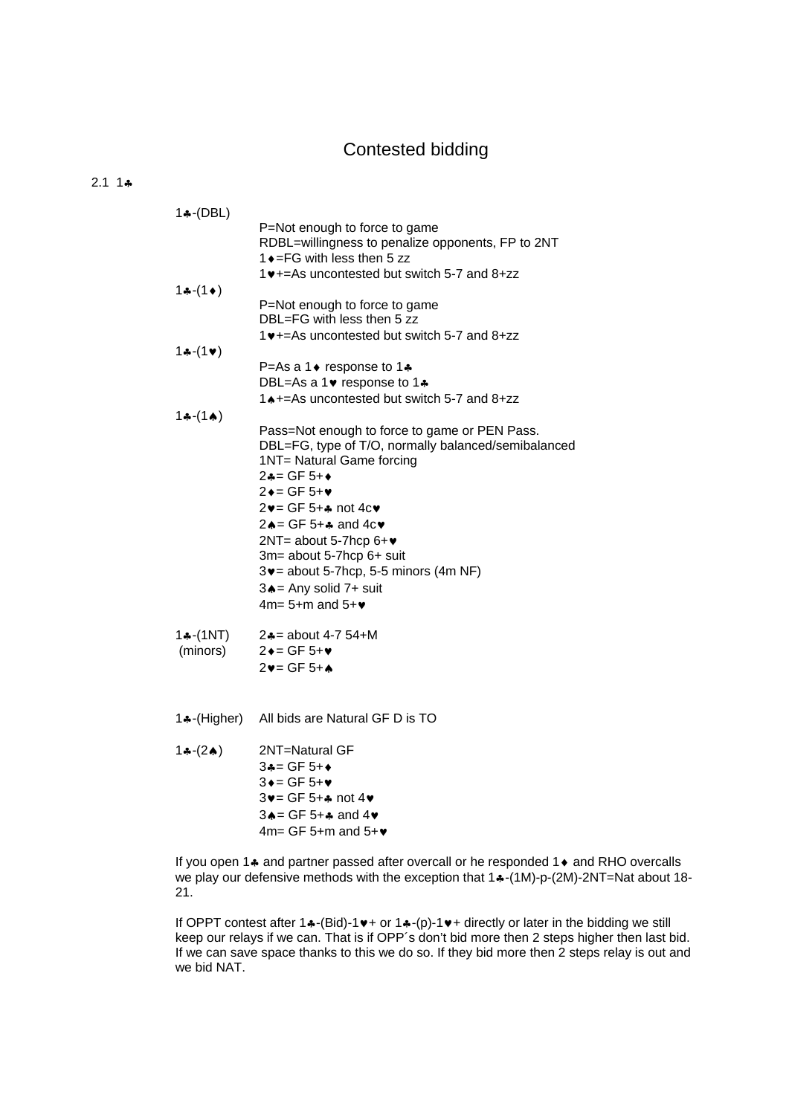# Contested bidding

#### 2.1 1♣

| $1$ $\ast$ -(DBL) |                                                                                                                                                     |
|-------------------|-----------------------------------------------------------------------------------------------------------------------------------------------------|
|                   | P=Not enough to force to game<br>RDBL=willingness to penalize opponents, FP to 2NT<br>1 $\bullet$ = FG with less then 5 zz                          |
|                   | 1♥+=As uncontested but switch 5-7 and 8+zz                                                                                                          |
| $1 - (1)$         | P=Not enough to force to game<br>DBL=FG with less then 5 zz<br>1♥+=As uncontested but switch 5-7 and 8+zz                                           |
| $1 - (1)$         |                                                                                                                                                     |
|                   | P=As a 1 $\bullet$ response to 1.4<br>DBL=As a 1v response to 1.4<br>1. +=As uncontested but switch 5-7 and 8+zz                                    |
| $1 - (1 + )$      |                                                                                                                                                     |
|                   | Pass=Not enough to force to game or PEN Pass.<br>DBL=FG, type of T/O, normally balanced/semibalanced<br>1NT= Natural Game forcing<br>$2 - GF 5 + 4$ |
|                   | $2 \triangleleft = GF 5 + \triangledown$                                                                                                            |
|                   | $2\blacktriangleright$ = GF 5+ $\clubsuit$ not 4c $\blacktriangleright$                                                                             |
|                   | $2 \triangle = GF 5 + \triangle$ and $4c \triangledown$                                                                                             |
|                   | 2NT= about 5-7hcp $6 + \vee$<br>3m= about 5-7hcp 6+ suit                                                                                            |
|                   | $3\blacktriangleright$ = about 5-7hcp, 5-5 minors (4m NF)                                                                                           |
|                   | $3 \triangle =$ Any solid 7+ suit                                                                                                                   |
|                   | $4m = 5+m$ and $5+\vee$                                                                                                                             |
| $1 - (1NT)$       | $2 - 2 = 200$ = 4-7 54+M                                                                                                                            |
| (minors)          | $2 \div = GF 5 + \times$                                                                                                                            |
|                   | $2v = GF 5 + A$                                                                                                                                     |
| 1♣ (Higher)       | All bids are Natural GF D is TO                                                                                                                     |
| $1 - (2)$         | 2NT=Natural GF                                                                                                                                      |
|                   | $3 - 9 = 5 + 1$                                                                                                                                     |
|                   | $3 \bullet = GF 5 + \bullet$                                                                                                                        |
|                   | $3v = GF 5 +$ not 4 $v$                                                                                                                             |
|                   | $3 \triangle = GF 5 + \clubsuit$ and $4 \triangledown$                                                                                              |
|                   | $4m = GF 5+m$ and $5+w$                                                                                                                             |

If you open 1♣ and partner passed after overcall or he responded 1♦ and RHO overcalls we play our defensive methods with the exception that 1 $\div$  (1M)-p-(2M)-2NT=Nat about 18-21.

If OPPT contest after 1♣-(Bid)-1♥+ or 1♣-(p)-1♥+ directly or later in the bidding we still keep our relays if we can. That is if OPP´s don't bid more then 2 steps higher then last bid. If we can save space thanks to this we do so. If they bid more then 2 steps relay is out and we bid NAT.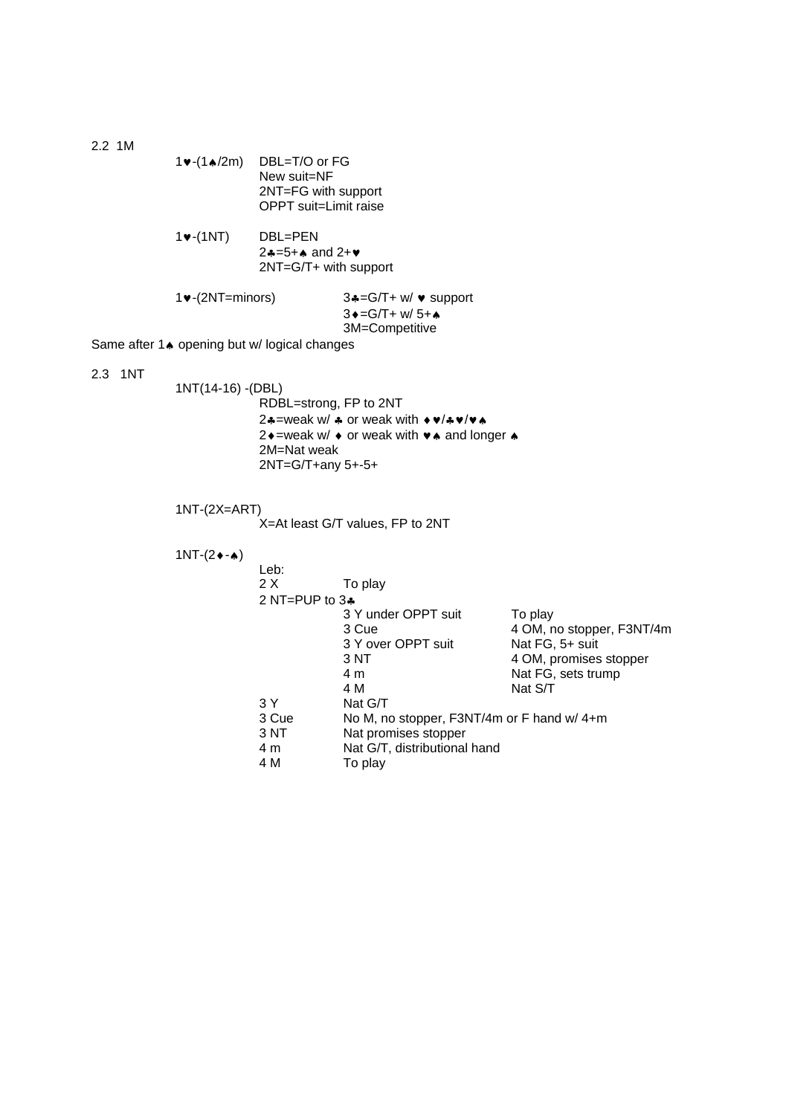2.2 1M 1♥-(1♠/2m) DBL=T/O or FG New suit=NF 2NT=FG with support OPPT suit=Limit raise 1♥-(1NT) DBL=PEN 2♣=5+♠ and 2+♥ 2NT=G/T+ with support 1♥-(2NT=minors) 3♣=G/T+ w/ ♥ support  $3 \cdot = G/T + W/ 5 + \cdot$ 3M=Competitive Same after 1♠ opening but w/ logical changes 2.3 1NT 1NT(14-16) -(DBL) RDBL=strong, FP to 2NT 2 $\ast$ =weak w/ $\ast$  or weak with  $\ast \ast / \ast \ast / \ast \ast$  2♦=weak w/ ♦ or weak with ♥♠ and longer ♠ 2M=Nat weak 2NT=G/T+any 5+-5+ 1NT-(2X=ART) X=At least G/T values, FP to 2NT 1NT- $(2 \cdot \cdot \cdot)$  Leb: 2 X To play 2 NT=PUP to 3♣ 3 Y under OPPT suit To play<br>3 Cue 4 OM, n 4 OM, no stopper, F3NT/4m<br>Nat FG, 5+ suit 3 Y over OPPT suit<br>3 NT 3 NT 4 OM, promises stopper<br>4 m 4 m Nat FG, sets trump<br>4 M Nat S/T **4 M** Nat S/T 3 Y Nat G/T<br>3 Cue No M, no 3 Cue No M, no stopper, F3NT/4m or F hand w/ 4+m<br>3 NT Nat promises stopper 3 NT Nat promises stopper<br>4 m Nat G/T, distributional 4 m Nat G/T, distributional hand<br>4 M To play To play